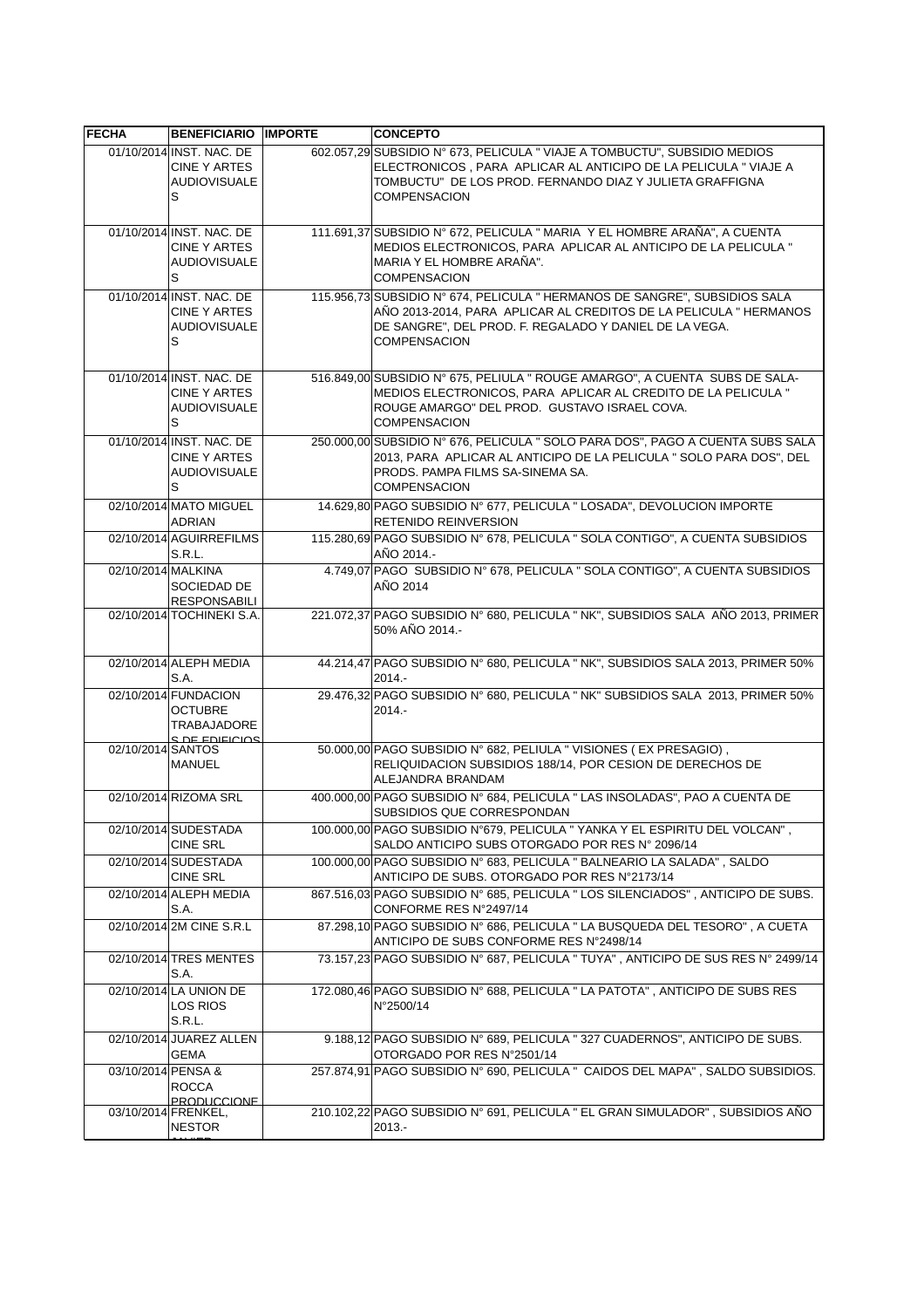| <b>FECHA</b>       | <b>BENEFICIARIO IMPORTE</b>                                                    | <b>CONCEPTO</b>                                                                                                                                                                                                                  |
|--------------------|--------------------------------------------------------------------------------|----------------------------------------------------------------------------------------------------------------------------------------------------------------------------------------------------------------------------------|
|                    | 01/10/2014 INST. NAC. DE<br><b>CINE Y ARTES</b><br><b>AUDIOVISUALE</b><br>S    | 602.057,29 SUBSIDIO N° 673, PELICULA " VIAJE A TOMBUCTU", SUBSIDIO MEDIOS<br>ELECTRONICOS, PARA APLICAR AL ANTICIPO DE LA PELICULA "VIAJE A<br>TOMBUCTU" DE LOS PROD. FERNANDO DIAZ Y JULIETA GRAFFIGNA<br><b>COMPENSACION</b>   |
|                    | 01/10/2014 INST. NAC. DE<br><b>CINE Y ARTES</b><br><b>AUDIOVISUALE</b><br>S    | 111.691,37 SUBSIDIO Nº 672, PELICULA " MARIA Y EL HOMBRE ARAÑA", A CUENTA<br>MEDIOS ELECTRONICOS, PARA APLICAR AL ANTICIPO DE LA PELICULA "<br>MARIA Y EL HOMBRE ARAÑA".<br><b>COMPENSACION</b>                                  |
|                    | 01/10/2014 INST. NAC. DE<br>CINE Y ARTES<br><b>AUDIOVISUALE</b><br>S           | 115.956,73 SUBSIDIO N° 674, PELICULA " HERMANOS DE SANGRE", SUBSIDIOS SALA<br>AÑO 2013-2014, PARA APLICAR AL CREDITOS DE LA PELICULA " HERMANOS<br>DE SANGRE", DEL PROD. F. REGALADO Y DANIEL DE LA VEGA.<br><b>COMPENSACION</b> |
|                    | 01/10/2014 INST. NAC. DE<br><b>CINE Y ARTES</b><br><b>AUDIOVISUALE</b><br>S    | 516.849,00 SUBSIDIO N° 675, PELIULA " ROUGE AMARGO", A CUENTA SUBS DE SALA-<br>MEDIOS ELECTRONICOS, PARA APLICAR AL CREDITO DE LA PELICULA "<br>ROUGE AMARGO" DEL PROD. GUSTAVO ISRAEL COVA.<br><b>COMPENSACION</b>              |
|                    | 01/10/2014 INST. NAC. DE<br>CINE Y ARTES<br><b>AUDIOVISUALE</b><br>S           | 250.000,00 SUBSIDIO N° 676, PELICULA " SOLO PARA DOS", PAGO A CUENTA SUBS SALA<br>2013, PARA APLICAR AL ANTICIPO DE LA PELICULA " SOLO PARA DOS", DEL<br>PRODS. PAMPA FILMS SA-SINEMA SA.<br><b>COMPENSACION</b>                 |
|                    | 02/10/2014 MATO MIGUEL<br><b>ADRIAN</b>                                        | 14.629,80 PAGO SUBSIDIO Nº 677, PELICULA " LOSADA", DEVOLUCION IMPORTE<br>RETENIDO REINVERSION                                                                                                                                   |
|                    | 02/10/2014 AGUIRREFILMS<br><b>S.R.L.</b>                                       | 115.280,69 PAGO SUBSIDIO Nº 678, PELICULA " SOLA CONTIGO", A CUENTA SUBSIDIOS<br>AÑO 2014 -                                                                                                                                      |
| 02/10/2014 MALKINA | SOCIEDAD DE<br><b>RESPONSABILI</b>                                             | 4.749,07 PAGO SUBSIDIO Nº 678, PELICULA " SOLA CONTIGO", A CUENTA SUBSIDIOS<br>AÑO 2014                                                                                                                                          |
|                    | 02/10/2014 TOCHINEKI S.A.                                                      | 221.072,37 PAGO SUBSIDIO N° 680, PELICULA " NK", SUBSIDIOS SALA AÑO 2013, PRIMER<br>50% AÑO 2014.-                                                                                                                               |
|                    | 02/10/2014 ALEPH MEDIA<br>S.A.                                                 | 44.214,47 PAGO SUBSIDIO Nº 680, PELICULA " NK", SUBSIDIOS SALA 2013, PRIMER 50%<br>$2014. -$                                                                                                                                     |
|                    | 02/10/2014 FUNDACION<br><b>OCTUBRE</b><br><b>TRABAJADORE</b><br>S DE EDIFICIOS | 29.476,32 PAGO SUBSIDIO N° 680, PELICULA " NK" SUBSIDIOS SALA 2013, PRIMER 50%<br>$2014. -$                                                                                                                                      |
| 02/10/2014 SANTOS  | MANUEL                                                                         | 50.000,00 PAGO SUBSIDIO N° 682, PELIULA " VISIONES (EX PRESAGIO),<br>RELIQUIDACION SUBSIDIOS 188/14, POR CESION DE DERECHOS DE<br>ALEJANDRA BRANDAM                                                                              |
|                    | 02/10/2014 RIZOMA SRL                                                          | 400.000,00 PAGO SUBSIDIO N° 684, PELICULA " LAS INSOLADAS", PAO A CUENTA DE<br>SUBSIDIOS QUE CORRESPONDAN                                                                                                                        |
|                    | 02/10/2014 SUDESTADA<br><b>CINE SRL</b>                                        | 100.000,00 PAGO SUBSIDIO N°679, PELICULA " YANKA Y EL ESPIRITU DEL VOLCAN",<br>SALDO ANTICIPO SUBS OTORGADO POR RES Nº 2096/14                                                                                                   |
|                    | 02/10/2014 SUDESTADA<br><b>CINE SRL</b>                                        | 100.000,00 PAGO SUBSIDIO N° 683, PELICULA " BALNEARIO LA SALADA", SALDO<br>ANTICIPO DE SUBS. OTORGADO POR RES N°2173/14                                                                                                          |
|                    | 02/10/2014 ALEPH MEDIA<br>S.A.                                                 | 867.516,03 PAGO SUBSIDIO N° 685, PELICULA " LOS SILENCIADOS", ANTICIPO DE SUBS.<br>CONFORME RES N°2497/14                                                                                                                        |
|                    | 02/10/2014 2M CINE S.R.L                                                       | 87.298,10 PAGO SUBSIDIO N° 686, PELICULA " LA BUSQUEDA DEL TESORO", A CUETA<br>ANTICIPO DE SUBS CONFORME RES N°2498/14                                                                                                           |
|                    | 02/10/2014 TRES MENTES<br>S.A.                                                 | 73.157,23 PAGO SUBSIDIO N° 687, PELICULA " TUYA", ANTICIPO DE SUS RES N° 2499/14                                                                                                                                                 |
|                    | 02/10/2014 LA UNION DE<br><b>LOS RIOS</b><br>S.R.L.                            | 172.080,46 PAGO SUBSIDIO N° 688, PELICULA " LA PATOTA", ANTICIPO DE SUBS RES<br>N°2500/14                                                                                                                                        |
|                    | 02/10/2014 JUAREZ ALLEN<br><b>GEMA</b>                                         | 9.188,12 PAGO SUBSIDIO N° 689, PELICULA " 327 CUADERNOS", ANTICIPO DE SUBS.<br>OTORGADO POR RES N°2501/14                                                                                                                        |
| 03/10/2014 PENSA & | <b>ROCCA</b><br><b>PRODUCCIONE</b>                                             | 257.874,91 PAGO SUBSIDIO N° 690, PELICULA " CAIDOS DEL MAPA", SALDO SUBSIDIOS.                                                                                                                                                   |
|                    | 03/10/2014 FRENKEL,<br><b>NESTOR</b>                                           | 210.102,22 PAGO SUBSIDIO N° 691, PELICULA " EL GRAN SIMULADOR", SUBSIDIOS AÑO<br>$2013.-$                                                                                                                                        |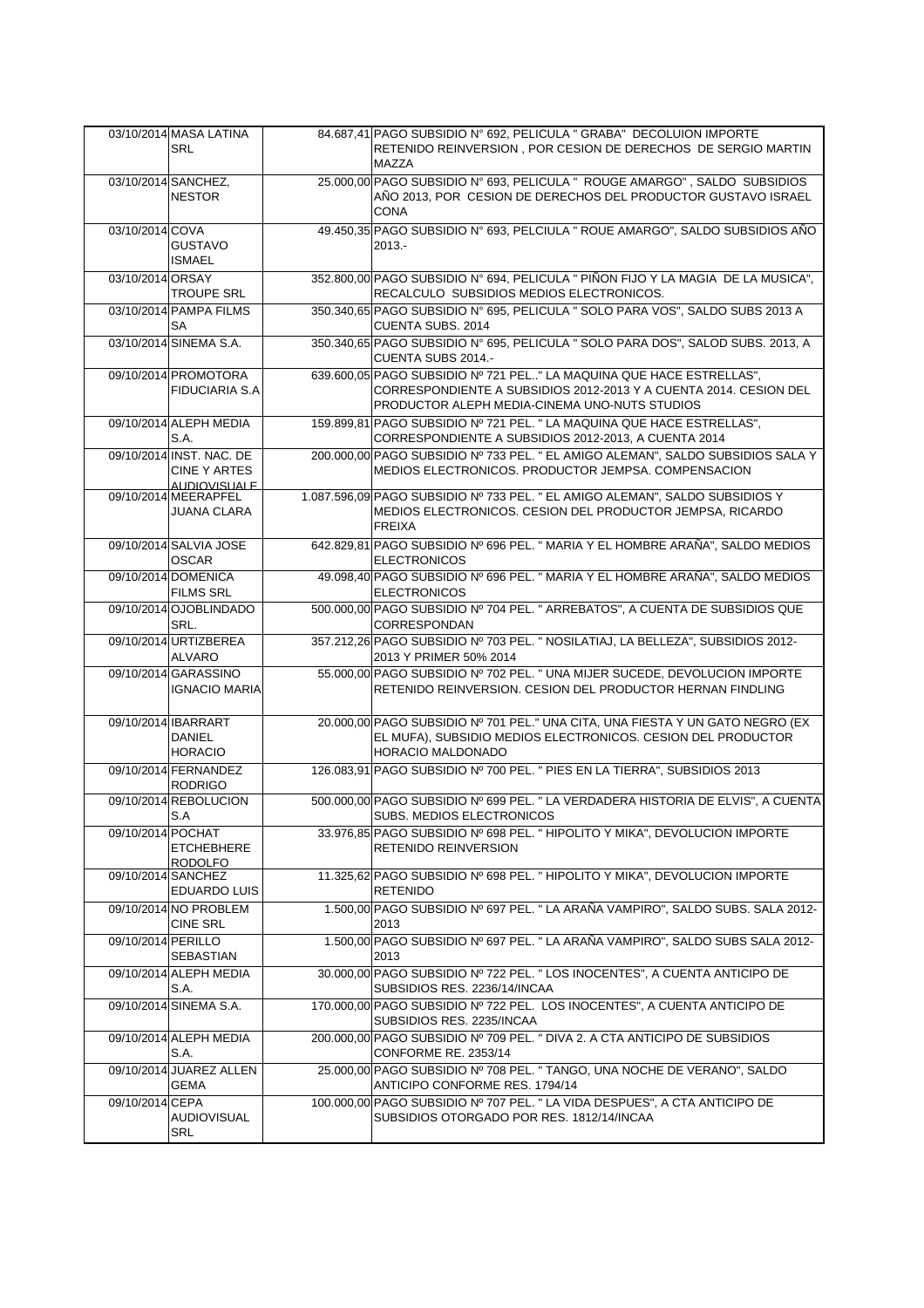|                    | 03/10/2014 MASA LATINA<br><b>SRL</b>                            | 84.687,41 PAGO SUBSIDIO Nº 692, PELICULA " GRABA" DECOLUION IMPORTE<br>RETENIDO REINVERSION, POR CESION DE DERECHOS DE SERGIO MARTIN<br><b>MAZZA</b>                                       |
|--------------------|-----------------------------------------------------------------|--------------------------------------------------------------------------------------------------------------------------------------------------------------------------------------------|
|                    | 03/10/2014 SANCHEZ,<br><b>NESTOR</b>                            | 25.000,00 PAGO SUBSIDIO Nº 693, PELICULA " ROUGE AMARGO", SALDO SUBSIDIOS<br>AÑO 2013, POR CESION DE DERECHOS DEL PRODUCTOR GUSTAVO ISRAEL<br><b>CONA</b>                                  |
| 03/10/2014 COVA    | <b>GUSTAVO</b><br><b>ISMAEL</b>                                 | 49.450,35 PAGO SUBSIDIO Nº 693, PELCIULA " ROUE AMARGO", SALDO SUBSIDIOS AÑO<br>$2013. -$                                                                                                  |
| 03/10/2014 ORSAY   | <b>TROUPE SRL</b>                                               | 352.800,00 PAGO SUBSIDIO N° 694, PELICULA " PIÑON FIJO Y LA MAGIA DE LA MUSICA",<br>RECALCULO SUBSIDIOS MEDIOS ELECTRONICOS.                                                               |
|                    | 03/10/2014 PAMPA FILMS<br>SA                                    | 350.340,65 PAGO SUBSIDIO N° 695, PELICULA " SOLO PARA VOS", SALDO SUBS 2013 A<br>CUENTA SUBS. 2014                                                                                         |
|                    | 03/10/2014 SINEMA S.A.                                          | 350.340,65 PAGO SUBSIDIO Nº 695, PELICULA " SOLO PARA DOS", SALOD SUBS. 2013, A<br>CUENTA SUBS 2014.-                                                                                      |
|                    | 09/10/2014 PROMOTORA<br><b>FIDUCIARIA S.A</b>                   | 639.600,05 PAGO SUBSIDIO Nº 721 PEL" LA MAQUINA QUE HACE ESTRELLAS",<br>CORRESPONDIENTE A SUBSIDIOS 2012-2013 Y A CUENTA 2014. CESION DEL<br>PRODUCTOR ALEPH MEDIA-CINEMA UNO-NUTS STUDIOS |
|                    | 09/10/2014 ALEPH MEDIA<br>S.A.                                  | 159.899,81 PAGO SUBSIDIO Nº 721 PEL. " LA MAQUINA QUE HACE ESTRELLAS",<br>CORRESPONDIENTE A SUBSIDIOS 2012-2013, A CUENTA 2014                                                             |
|                    | 09/10/2014 INST. NAC. DE<br><b>CINE Y ARTES</b><br>AUDIOVISUALE | 200.000,00 PAGO SUBSIDIO Nº 733 PEL. " EL AMIGO ALEMAN", SALDO SUBSIDIOS SALA Y<br>MEDIOS ELECTRONICOS. PRODUCTOR JEMPSA. COMPENSACION                                                     |
|                    | 09/10/2014 MEERAPFEL<br>JUANA CLARA                             | 1.087.596,09 PAGO SUBSIDIO Nº 733 PEL. " EL AMIGO ALEMAN", SALDO SUBSIDIOS Y<br>MEDIOS ELECTRONICOS. CESION DEL PRODUCTOR JEMPSA, RICARDO<br><b>FREIXA</b>                                 |
|                    | 09/10/2014 SALVIA JOSE<br><b>OSCAR</b>                          | 642.829,81 PAGO SUBSIDIO Nº 696 PEL. " MARIA Y EL HOMBRE ARAÑA", SALDO MEDIOS<br><b>ELECTRONICOS</b>                                                                                       |
|                    | 09/10/2014 DOMENICA<br><b>FILMS SRL</b>                         | 49.098,40 PAGO SUBSIDIO Nº 696 PEL. " MARIA Y EL HOMBRE ARAÑA", SALDO MEDIOS<br><b>ELECTRONICOS</b>                                                                                        |
|                    | 09/10/2014 OJOBLINDADO<br>SRL.                                  | 500.000,00 PAGO SUBSIDIO Nº 704 PEL. " ARREBATOS", A CUENTA DE SUBSIDIOS QUE<br><b>CORRESPONDAN</b>                                                                                        |
|                    | 09/10/2014 URTIZBEREA                                           | 357.212,26 PAGO SUBSIDIO Nº 703 PEL. " NOSILATIAJ, LA BELLEZA", SUBSIDIOS 2012-                                                                                                            |
|                    | ALVARO                                                          | 2013 Y PRIMER 50% 2014                                                                                                                                                                     |
|                    | 09/10/2014 GARASSINO<br><b>IGNACIO MARIA</b>                    | 55.000,00 PAGO SUBSIDIO Nº 702 PEL. " UNA MIJER SUCEDE, DEVOLUCION IMPORTE<br>RETENIDO REINVERSION. CESION DEL PRODUCTOR HERNAN FINDLING                                                   |
|                    | 09/10/2014 IBARRART<br><b>DANIEL</b><br><b>HORACIO</b>          | 20.000,00 PAGO SUBSIDIO Nº 701 PEL." UNA CITA, UNA FIESTA Y UN GATO NEGRO (EX<br>EL MUFA), SUBSIDIO MEDIOS ELECTRONICOS. CESION DEL PRODUCTOR<br><b>HORACIO MALDONADO</b>                  |
|                    | 09/10/2014 FERNANDEZ<br><b>RODRIGO</b>                          | 126.083,91 PAGO SUBSIDIO Nº 700 PEL. " PIES EN LA TIERRA", SUBSIDIOS 2013                                                                                                                  |
|                    | 09/10/2014 REBOLUCION<br>S.A                                    | SUBS. MEDIOS ELECTRONICOS                                                                                                                                                                  |
| 09/10/2014 POCHAT  | <b>ETCHEBHERE</b><br><b>RODOLFO</b>                             | 33.976,85 PAGO SUBSIDIO Nº 698 PEL. "HIPOLITO Y MIKA", DEVOLUCION IMPORTE<br><b>RETENIDO REINVERSION</b>                                                                                   |
|                    | 09/10/2014 SANCHEZ<br>EDUARDO LUIS                              | 500.000,00 PAGO SUBSIDIO Nº 699 PEL. " LA VERDADERA HISTORIA DE ELVIS", A CUENTA<br>11.325,62 PAGO SUBSIDIO Nº 698 PEL. "HIPOLITO Y MIKA", DEVOLUCION IMPORTE<br><b>RETENIDO</b>           |
|                    | 09/10/2014 NO PROBLEM<br><b>CINE SRL</b>                        | 1.500,00 PAGO SUBSIDIO Nº 697 PEL. " LA ARAÑA VAMPIRO", SALDO SUBS. SALA 2012-<br>2013                                                                                                     |
| 09/10/2014 PERILLO | SEBASTIAN                                                       | 1.500,00 PAGO SUBSIDIO Nº 697 PEL. " LA ARAÑA VAMPIRO", SALDO SUBS SALA 2012-<br>2013                                                                                                      |
|                    | 09/10/2014 ALEPH MEDIA<br>S.A.                                  | 30.000,00 PAGO SUBSIDIO Nº 722 PEL. " LOS INOCENTES", A CUENTA ANTICIPO DE<br>SUBSIDIOS RES. 2236/14/INCAA                                                                                 |
|                    | 09/10/2014 SINEMA S.A.                                          | 170.000,00 PAGO SUBSIDIO Nº 722 PEL. LOS INOCENTES", A CUENTA ANTICIPO DE<br>SUBSIDIOS RES. 2235/INCAA                                                                                     |
|                    | 09/10/2014 ALEPH MEDIA<br>S.A.                                  | 200.000,00 PAGO SUBSIDIO Nº 709 PEL. " DIVA 2. A CTA ANTICIPO DE SUBSIDIOS<br>CONFORME RE. 2353/14                                                                                         |
|                    | 09/10/2014 JUAREZ ALLEN<br>GEMA                                 | 25.000,00 PAGO SUBSIDIO Nº 708 PEL. " TANGO, UNA NOCHE DE VERANO", SALDO<br>ANTICIPO CONFORME RES. 1794/14<br>100.000,00 PAGO SUBSIDIO Nº 707 PEL. " LA VIDA DESPUES", A CTA ANTICIPO DE   |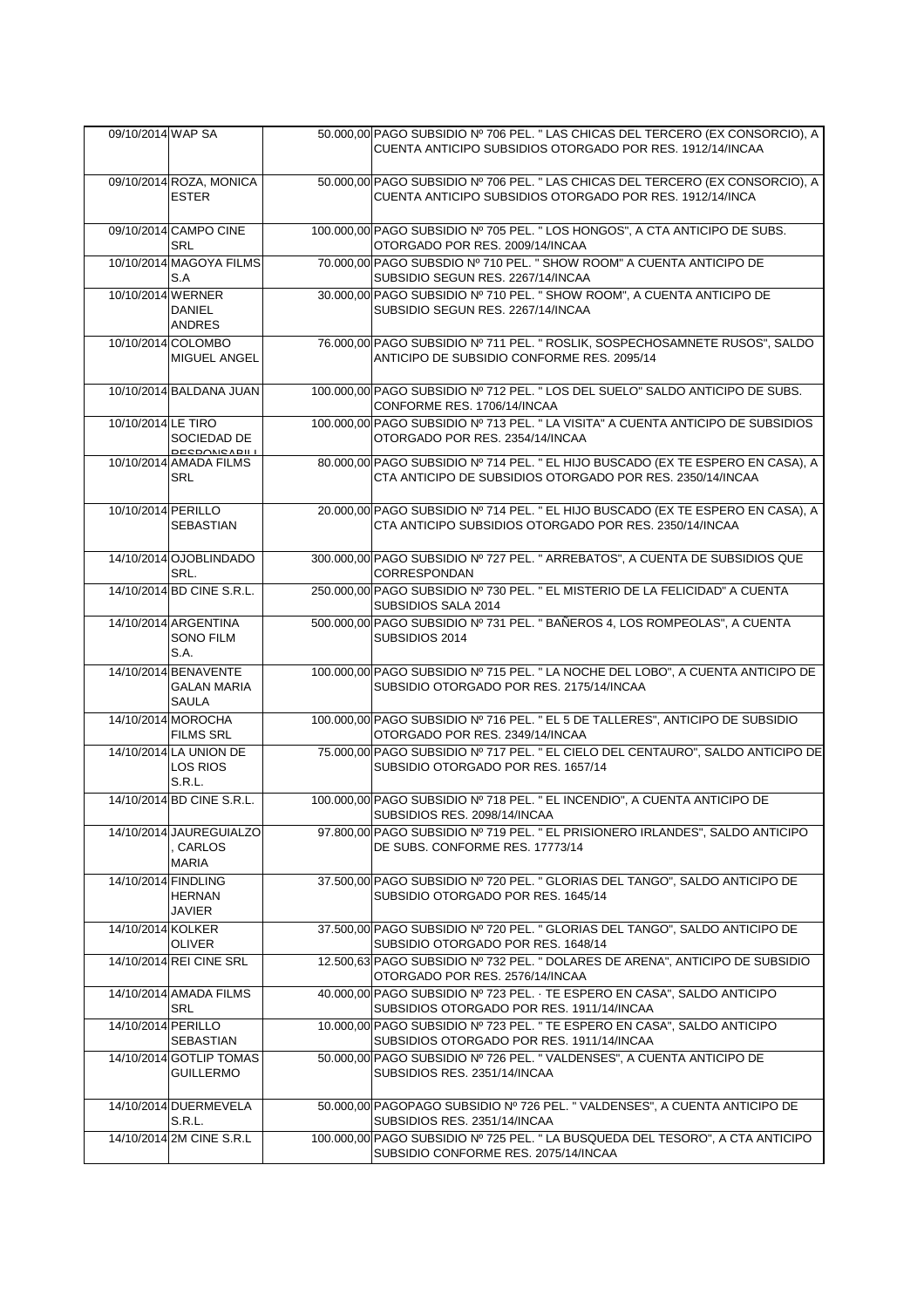| 09/10/2014 WAP SA   |                                            | 50.000,00 PAGO SUBSIDIO Nº 706 PEL. " LAS CHICAS DEL TERCERO (EX CONSORCIO), A                                              |
|---------------------|--------------------------------------------|-----------------------------------------------------------------------------------------------------------------------------|
|                     |                                            | CUENTA ANTICIPO SUBSIDIOS OTORGADO POR RES. 1912/14/INCAA                                                                   |
|                     | 09/10/2014 ROZA, MONICA                    | 50.000,00 PAGO SUBSIDIO Nº 706 PEL. " LAS CHICAS DEL TERCERO (EX CONSORCIO), A                                              |
|                     | <b>ESTER</b>                               | CUENTA ANTICIPO SUBSIDIOS OTORGADO POR RES. 1912/14/INCA                                                                    |
|                     | 09/10/2014 CAMPO CINE<br><b>SRL</b>        | 100.000,00 PAGO SUBSIDIO Nº 705 PEL. " LOS HONGOS", A CTA ANTICIPO DE SUBS.<br>OTORGADO POR RES. 2009/14/INCAA              |
|                     | 10/10/2014 MAGOYA FILMS<br>S.A             | 70.000,00 PAGO SUBSDIO Nº 710 PEL. " SHOW ROOM" A CUENTA ANTICIPO DE<br>SUBSIDIO SEGUN RES. 2267/14/INCAA                   |
| 10/10/2014 WERNER   | DANIEL<br><b>ANDRES</b>                    | 30.000,00 PAGO SUBSIDIO Nº 710 PEL. " SHOW ROOM", A CUENTA ANTICIPO DE<br>SUBSIDIO SEGUN RES. 2267/14/INCAA                 |
|                     | 10/10/2014 COLOMBO                         | 76.000,00 PAGO SUBSIDIO Nº 711 PEL. " ROSLIK, SOSPECHOSAMNETE RUSOS", SALDO                                                 |
|                     | MIGUEL ANGEL                               | ANTICIPO DE SUBSIDIO CONFORME RES. 2095/14                                                                                  |
|                     | 10/10/2014 BALDANA JUAN                    | 100.000,00 PAGO SUBSIDIO Nº 712 PEL. " LOS DEL SUELO" SALDO ANTICIPO DE SUBS.<br>CONFORME RES. 1706/14/INCAA                |
| 10/10/2014 LE TIRO  | SOCIEDAD DE                                | 100.000,00 PAGO SUBSIDIO Nº 713 PEL. " LA VISITA" A CUENTA ANTICIPO DE SUBSIDIOS<br>OTORGADO POR RES. 2354/14/INCAA         |
|                     | RESPONSARILL<br>10/10/2014 AMADA FILMS     | 80.000,00 PAGO SUBSIDIO Nº 714 PEL. " EL HIJO BUSCADO (EX TE ESPERO EN CASA), A                                             |
|                     | <b>SRL</b>                                 | CTA ANTICIPO DE SUBSIDIOS OTORGADO POR RES. 2350/14/INCAA                                                                   |
| 10/10/2014 PERILLO  |                                            | 20.000,00 PAGO SUBSIDIO Nº 714 PEL. " EL HIJO BUSCADO (EX TE ESPERO EN CASA), A                                             |
|                     | <b>SEBASTIAN</b>                           | CTA ANTICIPO SUBSIDIOS OTORGADO POR RES. 2350/14/INCAA                                                                      |
|                     | 14/10/2014 OJOBLINDADO<br>SRL.             | 300.000,00 PAGO SUBSIDIO Nº 727 PEL. " ARREBATOS", A CUENTA DE SUBSIDIOS QUE<br>CORRESPONDAN                                |
|                     | 14/10/2014 BD CINE S.R.L.                  | 250.000,00 PAGO SUBSIDIO Nº 730 PEL. " EL MISTERIO DE LA FELICIDAD" A CUENTA<br>SUBSIDIOS SALA 2014                         |
|                     | 14/10/2014 ARGENTINA                       | 500.000,00 PAGO SUBSIDIO Nº 731 PEL. " BAÑEROS 4, LOS ROMPEOLAS", A CUENTA                                                  |
|                     | <b>SONO FILM</b><br>S.A.                   | SUBSIDIOS 2014                                                                                                              |
|                     | 14/10/2014 BENAVENTE<br><b>GALAN MARIA</b> | 100.000,00 PAGO SUBSIDIO Nº 715 PEL. " LA NOCHE DEL LOBO", A CUENTA ANTICIPO DE<br>SUBSIDIO OTORGADO POR RES. 2175/14/INCAA |
|                     | <b>SAULA</b>                               |                                                                                                                             |
|                     | 14/10/2014 MOROCHA<br><b>FILMS SRL</b>     | 100.000,00 PAGO SUBSIDIO Nº 716 PEL. " EL 5 DE TALLERES", ANTICIPO DE SUBSIDIO<br>OTORGADO POR RES. 2349/14/INCAA           |
|                     | 14/10/2014 LA UNION DE<br><b>LOS RIOS</b>  | 75.000,00 PAGO SUBSIDIO Nº 717 PEL. " EL CIELO DEL CENTAURO", SALDO ANTICIPO DE                                             |
|                     | S.R.L.                                     | SUBSIDIO OTORGADO POR RES. 1657/14                                                                                          |
|                     | 14/10/2014 BD CINE S.R.L.                  | 100.000,00 PAGO SUBSIDIO Nº 718 PEL. " EL INCENDIO", A CUENTA ANTICIPO DE<br>SUBSIDIOS RES. 2098/14/INCAA                   |
|                     | 14/10/2014 JAUREGUIALZO                    | 97.800,00 PAGO SUBSIDIO Nº 719 PEL. " EL PRISIONERO IRLANDES", SALDO ANTICIPO                                               |
|                     | , CARLOS<br><b>MARIA</b>                   | DE SUBS. CONFORME RES. 17773/14                                                                                             |
| 14/10/2014 FINDLING |                                            | 37.500,00 PAGO SUBSIDIO Nº 720 PEL. " GLORIAS DEL TANGO", SALDO ANTICIPO DE                                                 |
|                     | HERNAN<br>JAVIER                           | SUBSIDIO OTORGADO POR RES. 1645/14                                                                                          |
| 14/10/2014 KOLKER   | <b>OLIVER</b>                              | 37.500,00 PAGO SUBSIDIO Nº 720 PEL. " GLORIAS DEL TANGO", SALDO ANTICIPO DE<br>SUBSIDIO OTORGADO POR RES. 1648/14           |
|                     | 14/10/2014 REI CINE SRL                    | 12.500,63 PAGO SUBSIDIO Nº 732 PEL. " DOLARES DE ARENA", ANTICIPO DE SUBSIDIO<br>OTORGADO POR RES. 2576/14/INCAA            |
|                     | 14/10/2014 AMADA FILMS<br>SRL              | 40.000,00 PAGO SUBSIDIO Nº 723 PEL. · TE ESPERO EN CASA", SALDO ANTICIPO<br>SUBSIDIOS OTORGADO POR RES. 1911/14/INCAA       |
| 14/10/2014 PERILLO  | SEBASTIAN                                  | 10.000,00 PAGO SUBSIDIO Nº 723 PEL. " TE ESPERO EN CASA", SALDO ANTICIPO<br>SUBSIDIOS OTORGADO POR RES. 1911/14/INCAA       |
|                     | 14/10/2014 GOTLIP TOMAS                    | 50.000,00 PAGO SUBSIDIO Nº 726 PEL. "VALDENSES", A CUENTA ANTICIPO DE                                                       |
|                     | GUILLERMO                                  | SUBSIDIOS RES. 2351/14/INCAA                                                                                                |
|                     | 14/10/2014 DUERMEVELA                      | 50.000,00 PAGOPAGO SUBSIDIO Nº 726 PEL. " VALDENSES", A CUENTA ANTICIPO DE                                                  |
|                     | S.R.L.<br>14/10/2014 2M CINE S.R.L         | SUBSIDIOS RES. 2351/14/INCAA<br>100.000,00 PAGO SUBSIDIO Nº 725 PEL. " LA BUSQUEDA DEL TESORO", A CTA ANTICIPO              |
|                     |                                            | SUBSIDIO CONFORME RES. 2075/14/INCAA                                                                                        |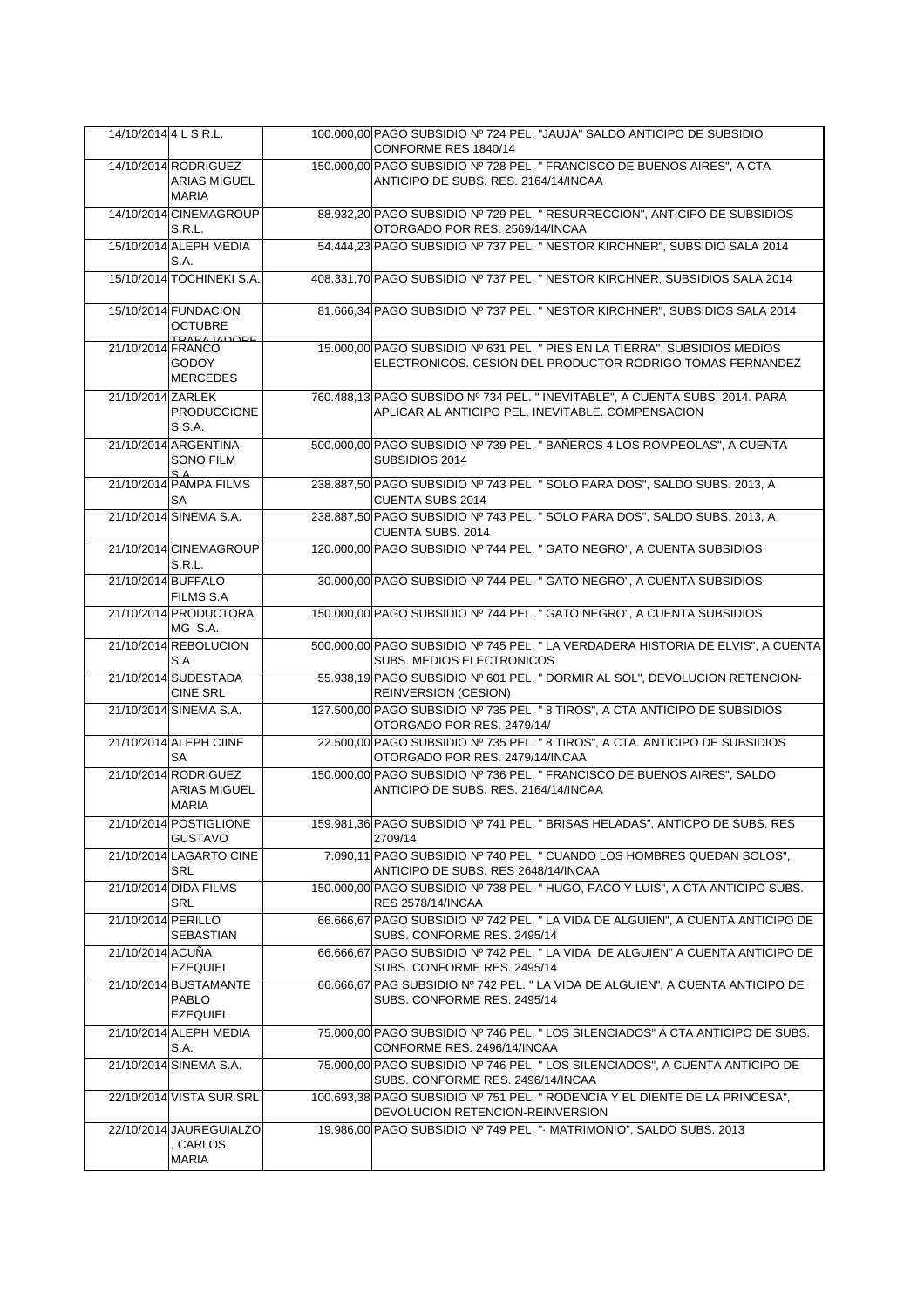| 14/10/2014 4 L S.R.L. |                                                     | 100,000,00 PAGO SUBSIDIO Nº 724 PEL. "JAUJA" SALDO ANTICIPO DE SUBSIDIO<br>CONFORME RES 1840/14                                   |
|-----------------------|-----------------------------------------------------|-----------------------------------------------------------------------------------------------------------------------------------|
|                       | 14/10/2014 RODRIGUEZ                                | 150.000,00 PAGO SUBSIDIO Nº 728 PEL. " FRANCISCO DE BUENOS AIRES", A CTA<br>ANTICIPO DE SUBS. RES. 2164/14/INCAA                  |
|                       | <b>ARIAS MIGUEL</b><br><b>MARIA</b>                 |                                                                                                                                   |
|                       | 14/10/2014 CINEMAGROUP<br>S.R.L.                    | 88.932,20 PAGO SUBSIDIO Nº 729 PEL. " RESURRECCION", ANTICIPO DE SUBSIDIOS<br>OTORGADO POR RES. 2569/14/INCAA                     |
|                       | 15/10/2014 ALEPH MEDIA<br>S.A.                      | 54.444,23 PAGO SUBSIDIO Nº 737 PEL. " NESTOR KIRCHNER", SUBSIDIO SALA 2014                                                        |
|                       | 15/10/2014 TOCHINEKI S.A.                           | 408.331,70 PAGO SUBSIDIO Nº 737 PEL. " NESTOR KIRCHNER, SUBSIDIOS SALA 2014                                                       |
|                       | 15/10/2014 FUNDACION<br><b>OCTUBRE</b>              | 81.666,34 PAGO SUBSIDIO Nº 737 PEL. " NESTOR KIRCHNER", SUBSIDIOS SALA 2014                                                       |
| 21/10/2014 FRANCO     | TRARA IADODE                                        | 15.000,00 PAGO SUBSIDIO Nº 631 PEL. " PIES EN LA TIERRA", SUBSIDIOS MEDIOS                                                        |
|                       | <b>GODOY</b><br><b>MERCEDES</b>                     | ELECTRONICOS. CESION DEL PRODUCTOR RODRIGO TOMAS FERNANDEZ                                                                        |
| 21/10/2014 ZARLEK     | <b>PRODUCCIONE</b>                                  | 760.488,13 PAGO SUBSIDO Nº 734 PEL. " INEVITABLE", A CUENTA SUBS. 2014. PARA<br>APLICAR AL ANTICIPO PEL. INEVITABLE. COMPENSACION |
|                       | S S.A.                                              |                                                                                                                                   |
|                       | 21/10/2014 ARGENTINA<br>SONO FILM<br>$S_A$          | 500.000,00 PAGO SUBSIDIO Nº 739 PEL. " BAÑEROS 4 LOS ROMPEOLAS", A CUENTA<br>SUBSIDIOS 2014                                       |
|                       | 21/10/2014 PAMPA FILMS<br>SA                        | 238.887,50 PAGO SUBSIDIO Nº 743 PEL. " SOLO PARA DOS", SALDO SUBS. 2013, A<br>CUENTA SUBS 2014                                    |
|                       | 21/10/2014 SINEMA S.A.                              | 238.887,50 PAGO SUBSIDIO Nº 743 PEL. " SOLO PARA DOS", SALDO SUBS. 2013, A<br>CUENTA SUBS. 2014                                   |
|                       | 21/10/2014 CINEMAGROUP<br>S.R.L.                    | 120.000,00 PAGO SUBSIDIO Nº 744 PEL. " GATO NEGRO", A CUENTA SUBSIDIOS                                                            |
| 21/10/2014 BUFFALO    | FILMS S.A                                           | 30.000,00 PAGO SUBSIDIO Nº 744 PEL. " GATO NEGRO", A CUENTA SUBSIDIOS                                                             |
|                       | 21/10/2014 PRODUCTORA<br>MG S.A.                    | 150.000,00 PAGO SUBSIDIO Nº 744 PEL. " GATO NEGRO", A CUENTA SUBSIDIOS                                                            |
|                       | 21/10/2014 REBOLUCION<br>S.A                        | 500.000,00 PAGO SUBSIDIO Nº 745 PEL. " LA VERDADERA HISTORIA DE ELVIS", A CUENTA<br>SUBS. MEDIOS ELECTRONICOS                     |
|                       | 21/10/2014 SUDESTADA<br><b>CINE SRL</b>             | 55.938,19 PAGO SUBSIDIO Nº 601 PEL. " DORMIR AL SOL", DEVOLUCION RETENCION-<br>REINVERSION (CESION)                               |
|                       | 21/10/2014 SINEMA S.A.                              | 127.500,00 PAGO SUBSIDIO Nº 735 PEL. " 8 TIROS", A CTA ANTICIPO DE SUBSIDIOS<br>OTORGADO POR RES. 2479/14/                        |
|                       | 21/10/2014 ALEPH CIINE<br>SA                        | 22.500,00 PAGO SUBSIDIO Nº 735 PEL. " 8 TIROS", A CTA. ANTICIPO DE SUBSIDIOS<br>OTORGADO POR RES. 2479/14/INCAA                   |
|                       | 21/10/2014 RODRIGUEZ<br><b>ARIAS MIGUEL</b>         | 150.000,00 PAGO SUBSIDIO Nº 736 PEL. " FRANCISCO DE BUENOS AIRES", SALDO<br>ANTICIPO DE SUBS. RES. 2164/14/INCAA                  |
|                       | MARIA                                               |                                                                                                                                   |
|                       | 21/10/2014 POSTIGLIONE<br><b>GUSTAVO</b>            | 159.981,36 PAGO SUBSIDIO Nº 741 PEL. " BRISAS HELADAS", ANTICPO DE SUBS. RES<br>2709/14                                           |
|                       | 21/10/2014 LAGARTO CINE<br>SRL                      | 7.090,11 PAGO SUBSIDIO Nº 740 PEL. " CUANDO LOS HOMBRES QUEDAN SOLOS",<br>ANTICIPO DE SUBS. RES 2648/14/INCAA                     |
|                       | 21/10/2014 DIDA FILMS<br><b>SRL</b>                 | 150.000,00 PAGO SUBSIDIO Nº 738 PEL. "HUGO, PACO Y LUIS", A CTA ANTICIPO SUBS.<br>RES 2578/14/INCAA                               |
| 21/10/2014 PERILLO    | SEBASTIAN                                           | 66.666,67 PAGO SUBSIDIO Nº 742 PEL. " LA VIDA DE ALGUIEN", A CUENTA ANTICIPO DE<br>SUBS. CONFORME RES. 2495/14                    |
| 21/10/2014 ACUÑA      | <b>EZEQUIEL</b>                                     | 66.666.67 PAGO SUBSIDIO Nº 742 PEL. " LA VIDA DE ALGUIEN" A CUENTA ANTICIPO DE<br>SUBS. CONFORME RES. 2495/14                     |
|                       | 21/10/2014 BUSTAMANTE                               | 66.666,67 PAG SUBSIDIO Nº 742 PEL. " LA VIDA DE ALGUIEN", A CUENTA ANTICIPO DE                                                    |
|                       | <b>PABLO</b><br><b>EZEQUIEL</b>                     | SUBS. CONFORME RES. 2495/14                                                                                                       |
|                       | 21/10/2014 ALEPH MEDIA<br>S.A.                      | 75.000,00 PAGO SUBSIDIO Nº 746 PEL. " LOS SILENCIADOS" A CTA ANTICIPO DE SUBS.<br>CONFORME RES. 2496/14/INCAA                     |
|                       | 21/10/2014 SINEMA S.A.                              | 75.000,00 PAGO SUBSIDIO Nº 746 PEL. " LOS SILENCIADOS", A CUENTA ANTICIPO DE<br>SUBS. CONFORME RES. 2496/14/INCAA                 |
|                       | 22/10/2014 VISTA SUR SRL                            | 100.693,38 PAGO SUBSIDIO Nº 751 PEL. " RODENCIA Y EL DIENTE DE LA PRINCESA",<br>DEVOLUCION RETENCION-REINVERSION                  |
|                       | 22/10/2014 JAUREGUIALZO<br>, CARLOS<br><b>MARIA</b> | 19.986,00 PAGO SUBSIDIO Nº 749 PEL. " MATRIMONIO", SALDO SUBS. 2013                                                               |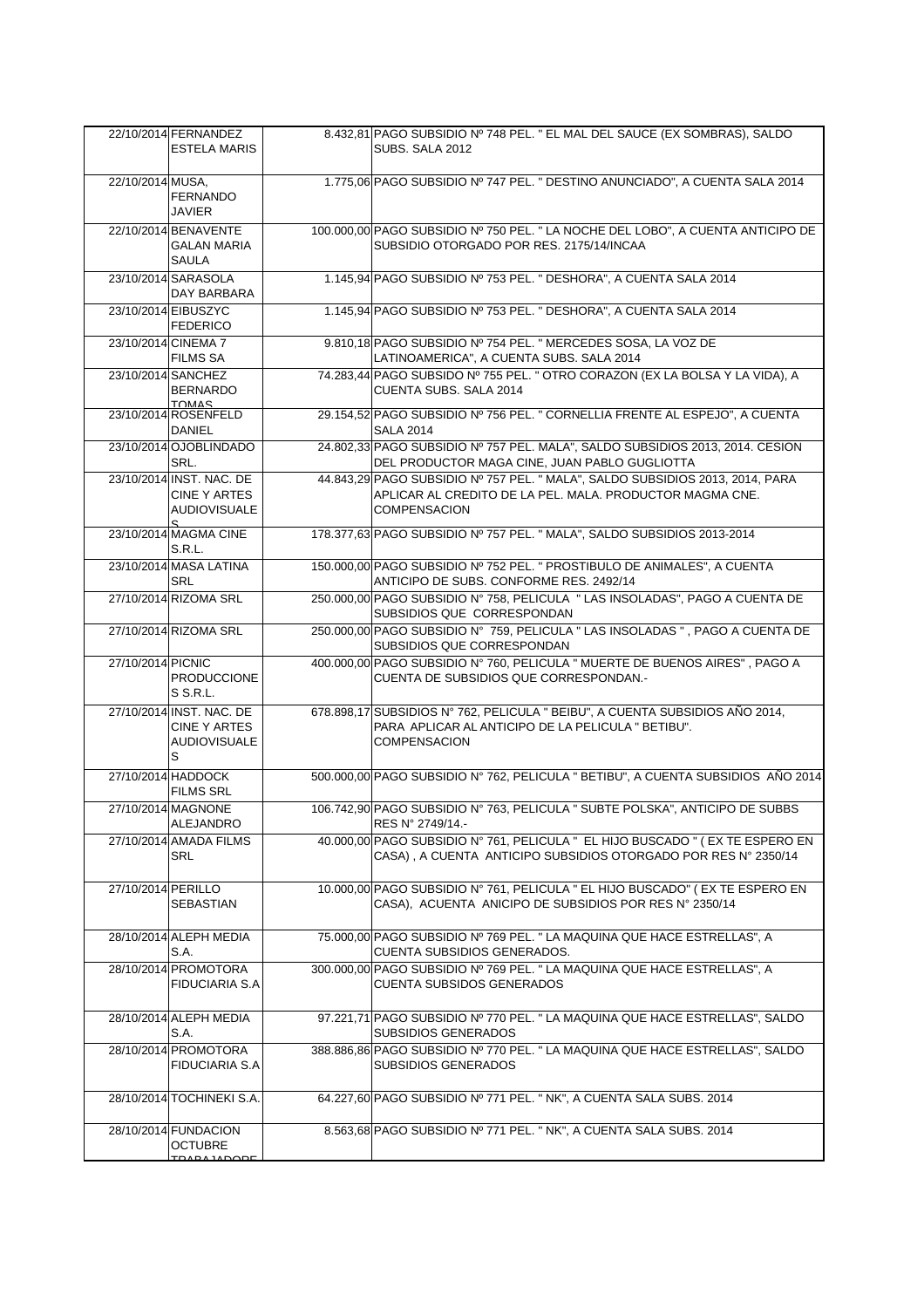|                    | 22/10/2014 FERNANDEZ<br><b>ESTELA MARIS</b>                                 | 8.432,81 PAGO SUBSIDIO Nº 748 PEL. " EL MAL DEL SAUCE (EX SOMBRAS), SALDO<br>SUBS, SALA 2012                                                                     |
|--------------------|-----------------------------------------------------------------------------|------------------------------------------------------------------------------------------------------------------------------------------------------------------|
| 22/10/2014 MUSA,   | <b>FERNANDO</b><br><b>JAVIER</b>                                            | 1.775,06 PAGO SUBSIDIO Nº 747 PEL. " DESTINO ANUNCIADO", A CUENTA SALA 2014                                                                                      |
|                    | 22/10/2014 BENAVENTE<br><b>GALAN MARIA</b><br><b>SAULA</b>                  | 100.000,00 PAGO SUBSIDIO Nº 750 PEL. " LA NOCHE DEL LOBO", A CUENTA ANTICIPO DE<br>SUBSIDIO OTORGADO POR RES. 2175/14/INCAA                                      |
|                    | 23/10/2014 SARASOLA<br>DAY BARBARA                                          | 1.145,94 PAGO SUBSIDIO Nº 753 PEL. " DESHORA", A CUENTA SALA 2014                                                                                                |
|                    | 23/10/2014 EIBUSZYC<br><b>FEDERICO</b>                                      | 1.145,94 PAGO SUBSIDIO Nº 753 PEL. " DESHORA", A CUENTA SALA 2014                                                                                                |
|                    | 23/10/2014 CINEMA 7<br><b>FILMS SA</b>                                      | 9.810,18 PAGO SUBSIDIO Nº 754 PEL. " MERCEDES SOSA, LA VOZ DE<br>LATINOAMERICA", A CUENTA SUBS. SALA 2014                                                        |
| 23/10/2014 SANCHEZ | <b>BERNARDO</b><br><b>TOMAS</b>                                             | 74.283,44 PAGO SUBSIDO Nº 755 PEL. " OTRO CORAZON (EX LA BOLSA Y LA VIDA), A<br>CUENTA SUBS. SALA 2014                                                           |
|                    | 23/10/2014 ROSENFELD<br>DANIEL                                              | 29.154,52 PAGO SUBSIDIO Nº 756 PEL. " CORNELLIA FRENTE AL ESPEJO", A CUENTA<br><b>SALA 2014</b>                                                                  |
|                    | 23/10/2014 OJOBLINDADO<br>SRL.                                              | 24.802,33 PAGO SUBSIDIO Nº 757 PEL. MALA", SALDO SUBSIDIOS 2013, 2014. CESION<br>DEL PRODUCTOR MAGA CINE, JUAN PABLO GUGLIOTTA                                   |
|                    | 23/10/2014 INST. NAC. DE<br>CINE Y ARTES<br><b>AUDIOVISUALE</b><br>S.       | 44.843,29 PAGO SUBSIDIO Nº 757 PEL. " MALA", SALDO SUBSIDIOS 2013, 2014, PARA<br>APLICAR AL CREDITO DE LA PEL. MALA. PRODUCTOR MAGMA CNE.<br><b>COMPENSACION</b> |
|                    | 23/10/2014 MAGMA CINE<br><b>S.R.L.</b>                                      | 178.377,63 PAGO SUBSIDIO Nº 757 PEL. " MALA", SALDO SUBSIDIOS 2013-2014                                                                                          |
|                    | 23/10/2014 MASA LATINA<br><b>SRL</b>                                        | 150.000,00 PAGO SUBSIDIO Nº 752 PEL. " PROSTIBULO DE ANIMALES", A CUENTA<br>ANTICIPO DE SUBS. CONFORME RES. 2492/14                                              |
|                    | 27/10/2014 RIZOMA SRL                                                       | 250.000,00 PAGO SUBSIDIO Nº 758, PELICULA " LAS INSOLADAS", PAGO A CUENTA DE<br>SUBSIDIOS QUE CORRESPONDAN                                                       |
|                    | 27/10/2014 RIZOMA SRL                                                       | 250.000,00 PAGO SUBSIDIO Nº 759, PELICULA " LAS INSOLADAS ", PAGO A CUENTA DE<br>SUBSIDIOS QUE CORRESPONDAN                                                      |
| 27/10/2014 PICNIC  | <b>PRODUCCIONE</b><br>S S.R.L.                                              | 400.000,00 PAGO SUBSIDIO N° 760, PELICULA " MUERTE DE BUENOS AIRES", PAGO A<br>CUENTA DE SUBSIDIOS QUE CORRESPONDAN.-                                            |
|                    | 27/10/2014 INST. NAC. DE<br><b>CINE Y ARTES</b><br><b>AUDIOVISUALE</b><br>S | 678.898,17 SUBSIDIOS Nº 762, PELICULA " BEIBU", A CUENTA SUBSIDIOS AÑO 2014,<br>PARA APLICAR AL ANTICIPO DE LA PELICULA " BETIBU".<br><b>COMPENSACION</b>        |
|                    | 27/10/2014 HADDOCK<br><b>FILMS SRL</b>                                      | 500.000,00 PAGO SUBSIDIO Nº 762, PELICULA " BETIBU", A CUENTA SUBSIDIOS AÑO 2014                                                                                 |
|                    | 27/10/2014 MAGNONE<br>ALEJANDRO                                             | 106.742,90 PAGO SUBSIDIO Nº 763, PELICULA " SUBTE POLSKA", ANTICIPO DE SUBBS<br>RES N° 2749/14.-                                                                 |
|                    | 27/10/2014 AMADA FILMS<br>SRL                                               | 40.000,00 PAGO SUBSIDIO N° 761, PELICULA " EL HIJO BUSCADO " (EX TE ESPERO EN<br>CASA), A CUENTA ANTICIPO SUBSIDIOS OTORGADO POR RES Nº 2350/14                  |
| 27/10/2014 PERILLO | SEBASTIAN                                                                   | 10.000,00 PAGO SUBSIDIO N° 761, PELICULA " EL HIJO BUSCADO" (EX TE ESPERO EN<br>CASA), ACUENTA ANICIPO DE SUBSIDIOS POR RES Nº 2350/14                           |
|                    | 28/10/2014 ALEPH MEDIA<br>S.A.                                              | 75.000,00 PAGO SUBSIDIO Nº 769 PEL. " LA MAQUINA QUE HACE ESTRELLAS", A<br>CUENTA SUBSIDIOS GENERADOS.                                                           |
|                    | 28/10/2014 PROMOTORA<br><b>FIDUCIARIA S.A</b>                               | 300.000,00 PAGO SUBSIDIO Nº 769 PEL. " LA MAQUINA QUE HACE ESTRELLAS", A<br><b>CUENTA SUBSIDOS GENERADOS</b>                                                     |
|                    | 28/10/2014 ALEPH MEDIA<br>S.A.                                              | 97.221,71 PAGO SUBSIDIO Nº 770 PEL. " LA MAQUINA QUE HACE ESTRELLAS", SALDO<br>SUBSIDIOS GENERADOS                                                               |
|                    | 28/10/2014 PROMOTORA<br><b>FIDUCIARIA S.A</b>                               | 388.886,86 PAGO SUBSIDIO Nº 770 PEL. " LA MAQUINA QUE HACE ESTRELLAS", SALDO<br><b>SUBSIDIOS GENERADOS</b>                                                       |
|                    | 28/10/2014 TOCHINEKI S.A.                                                   | 64.227,60 PAGO SUBSIDIO Nº 771 PEL. " NK", A CUENTA SALA SUBS. 2014                                                                                              |
|                    | 28/10/2014 FUNDACION<br>OCTUBRE<br><b>TO AD A LADODE</b>                    | 8.563,68 PAGO SUBSIDIO Nº 771 PEL. " NK", A CUENTA SALA SUBS. 2014                                                                                               |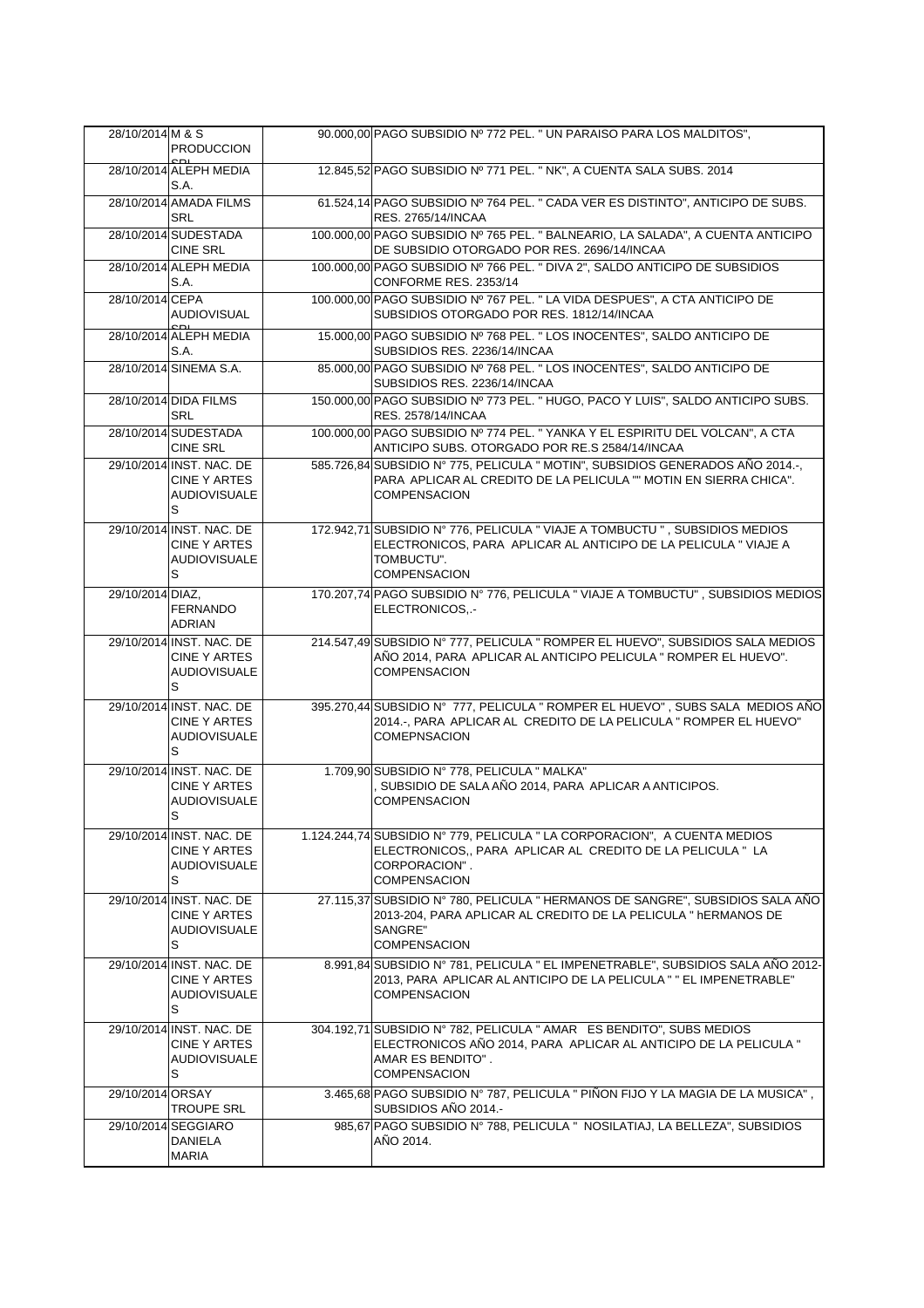| 28/10/2014 M & S | <b>PRODUCCION</b>                                                           | 90.000,00 PAGO SUBSIDIO Nº 772 PEL. " UN PARAISO PARA LOS MALDITOS",                                                                                                                 |
|------------------|-----------------------------------------------------------------------------|--------------------------------------------------------------------------------------------------------------------------------------------------------------------------------------|
|                  |                                                                             |                                                                                                                                                                                      |
|                  | 28/10/2014 ALEPH MEDIA<br>S.A.                                              | 12.845,52 PAGO SUBSIDIO Nº 771 PEL. " NK", A CUENTA SALA SUBS. 2014                                                                                                                  |
|                  | 28/10/2014 AMADA FILMS<br><b>SRL</b>                                        | 61.524,14 PAGO SUBSIDIO Nº 764 PEL. " CADA VER ES DISTINTO", ANTICIPO DE SUBS.<br>RES. 2765/14/INCAA                                                                                 |
|                  | 28/10/2014 SUDESTADA<br><b>CINE SRL</b>                                     | 100.000,00 PAGO SUBSIDIO Nº 765 PEL. "BALNEARIO, LA SALADA", A CUENTA ANTICIPO<br>DE SUBSIDIO OTORGADO POR RES. 2696/14/INCAA                                                        |
|                  | 28/10/2014 ALEPH MEDIA<br>S.A.                                              | 100.000,00 PAGO SUBSIDIO Nº 766 PEL. " DIVA 2", SALDO ANTICIPO DE SUBSIDIOS<br>CONFORME RES. 2353/14                                                                                 |
| 28/10/2014 CEPA  | <b>AUDIOVISUAL</b>                                                          | 100.000,00 PAGO SUBSIDIO Nº 767 PEL. " LA VIDA DESPUES", A CTA ANTICIPO DE<br>SUBSIDIOS OTORGADO POR RES. 1812/14/INCAA                                                              |
|                  | 28/10/2014 ALEPH MEDIA<br>S.A.                                              | 15.000,00 PAGO SUBSIDIO Nº 768 PEL. " LOS INOCENTES", SALDO ANTICIPO DE<br>SUBSIDIOS RES. 2236/14/INCAA                                                                              |
|                  | 28/10/2014 SINEMA S.A.                                                      | 85.000,00 PAGO SUBSIDIO Nº 768 PEL. " LOS INOCENTES", SALDO ANTICIPO DE<br>SUBSIDIOS RES. 2236/14/INCAA                                                                              |
|                  | 28/10/2014 DIDA FILMS<br><b>SRL</b>                                         | 150.000,00 PAGO SUBSIDIO Nº 773 PEL. "HUGO, PACO Y LUIS", SALDO ANTICIPO SUBS.<br>RES. 2578/14/INCAA                                                                                 |
|                  | 28/10/2014 SUDESTADA<br><b>CINE SRL</b>                                     | 100.000,00 PAGO SUBSIDIO Nº 774 PEL. " YANKA Y EL ESPIRITU DEL VOLCAN", A CTA<br>ANTICIPO SUBS. OTORGADO POR RE.S 2584/14/INCAA                                                      |
|                  | 29/10/2014 INST. NAC. DE<br><b>CINE Y ARTES</b><br><b>AUDIOVISUALE</b><br>S | 585.726,84 SUBSIDIO Nº 775, PELICULA " MOTIN", SUBSIDIOS GENERADOS AÑO 2014.-,<br>PARA APLICAR AL CREDITO DE LA PELICULA "" MOTIN EN SIERRA CHICA".<br><b>COMPENSACION</b>           |
|                  | 29/10/2014 INST, NAC, DE<br><b>CINE Y ARTES</b><br><b>AUDIOVISUALE</b><br>S | 172.942,71 SUBSIDIO Nº 776, PELICULA " VIAJE A TOMBUCTU ", SUBSIDIOS MEDIOS<br>ELECTRONICOS, PARA APLICAR AL ANTICIPO DE LA PELICULA "VIAJE A<br>TOMBUCTU".<br><b>COMPENSACION</b>   |
| 29/10/2014 DIAZ. | <b>FERNANDO</b><br>ADRIAN                                                   | 170.207,74 PAGO SUBSIDIO N° 776, PELICULA " VIAJE A TOMBUCTU", SUBSIDIOS MEDIOS<br>ELECTRONICOS-                                                                                     |
|                  | 29/10/2014 INST. NAC. DE<br><b>CINE Y ARTES</b><br><b>AUDIOVISUALE</b><br>S | 214.547,49 SUBSIDIO Nº 777, PELICULA " ROMPER EL HUEVO", SUBSIDIOS SALA MEDIOS<br>AÑO 2014, PARA APLICAR AL ANTICIPO PELICULA " ROMPER EL HUEVO".<br><b>COMPENSACION</b>             |
|                  | 29/10/2014 INST. NAC. DE<br><b>CINE Y ARTES</b><br><b>AUDIOVISUALE</b><br>S | 395.270,44 SUBSIDIO N° 777, PELICULA " ROMPER EL HUEVO", SUBS SALA MEDIOS AÑO<br>2014 .- , PARA APLICAR AL CREDITO DE LA PELICULA " ROMPER EL HUEVO"<br><b>COMEPNSACION</b>          |
|                  | 29/10/2014 INST, NAC, DE<br><b>CINE Y ARTES</b><br><b>AUDIOVISUALE</b><br>S | 1.709,90 SUBSIDIO N° 778, PELICULA " MALKA"<br>, SUBSIDIO DE SALA AÑO 2014, PARA APLICAR A ANTICIPOS.<br><b>COMPENSACION</b>                                                         |
|                  | 29/10/2014 INST. NAC. DE<br>CINE Y ARTES<br><b>AUDIOVISUALE</b><br>S        | 1.124.244,74 SUBSIDIO N° 779, PELICULA " LA CORPORACION", A CUENTA MEDIOS<br>ELECTRONICOS,, PARA APLICAR AL CREDITO DE LA PELICULA "LA<br>CORPORACION".<br><b>COMPENSACION</b>       |
|                  | 29/10/2014 INST. NAC. DE<br>CINE Y ARTES<br><b>AUDIOVISUALE</b><br>S        | 27.115,37 SUBSIDIO N° 780, PELICULA " HERMANOS DE SANGRE", SUBSIDIOS SALA AÑO<br>2013-204, PARA APLICAR AL CREDITO DE LA PELICULA " hERMANOS DE<br>SANGRE"<br>COMPENSACION           |
|                  | 29/10/2014 INST. NAC. DE<br>CINE Y ARTES<br><b>AUDIOVISUALE</b><br>S        | 8.991,84 SUBSIDIO Nº 781, PELICULA " EL IMPENETRABLE", SUBSIDIOS SALA AÑO 2012-<br>2013, PARA APLICAR AL ANTICIPO DE LA PELICULA " " EL IMPENETRABLE"<br><b>COMPENSACION</b>         |
|                  | 29/10/2014 INST. NAC. DE<br>CINE Y ARTES<br><b>AUDIOVISUALE</b><br>S        | 304.192.71 SUBSIDIO N° 782, PELICULA " AMAR ES BENDITO", SUBS MEDIOS<br>ELECTRONICOS AÑO 2014, PARA APLICAR AL ANTICIPO DE LA PELICULA "<br>AMAR ES BENDITO".<br><b>COMPENSACION</b> |
| 29/10/2014 ORSAY | <b>TROUPE SRL</b>                                                           | 3.465,68 PAGO SUBSIDIO N° 787, PELICULA " PIÑON FIJO Y LA MAGIA DE LA MUSICA",<br>SUBSIDIOS AÑO 2014.-                                                                               |
|                  | 29/10/2014 SEGGIARO<br>DANIELA<br><b>MARIA</b>                              | 985,67 PAGO SUBSIDIO N° 788, PELICULA " NOSILATIAJ, LA BELLEZA", SUBSIDIOS<br>AÑO 2014.                                                                                              |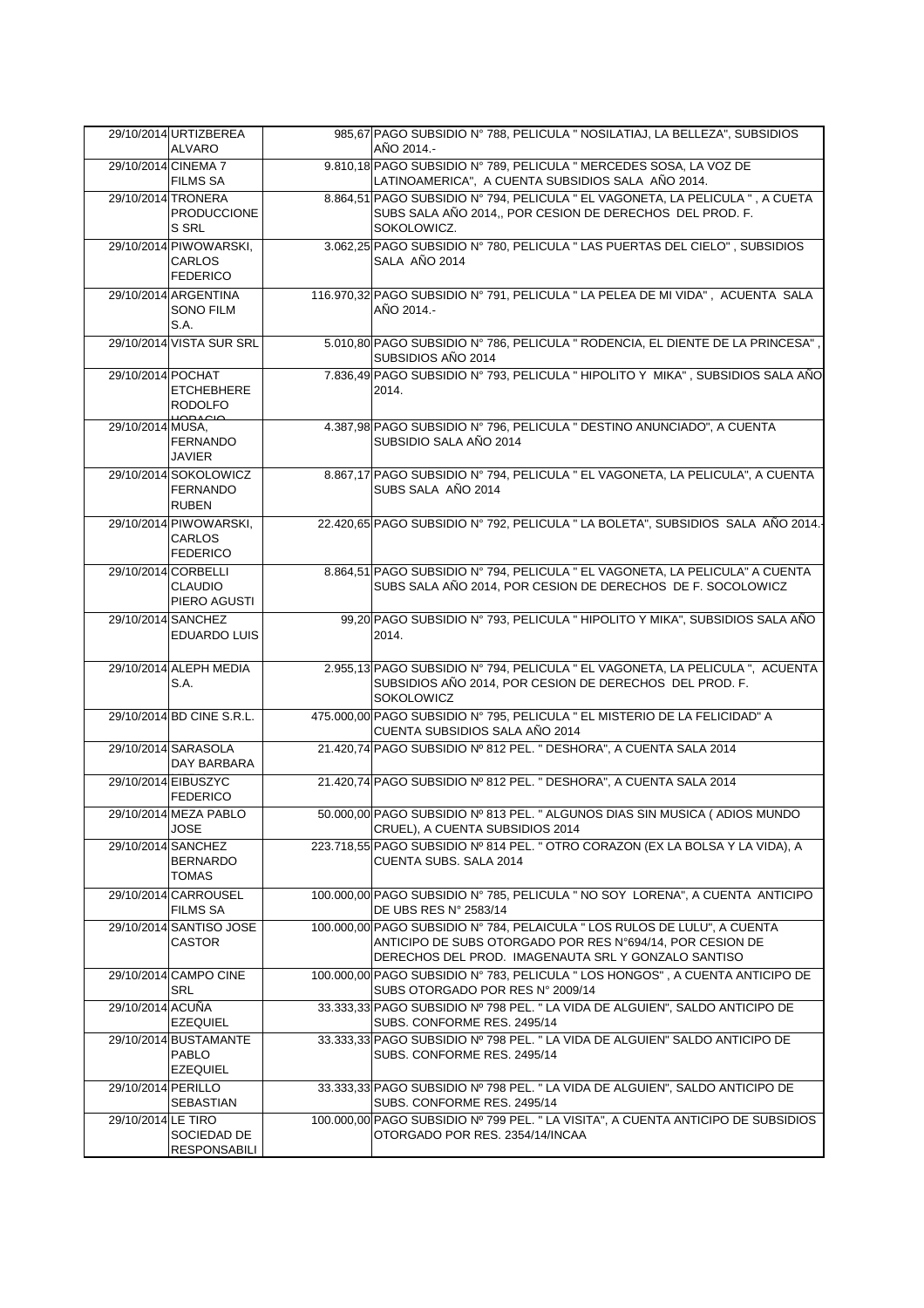|                    | 29/10/2014 URTIZBEREA<br><b>ALVARO</b>                     | 985,67 PAGO SUBSIDIO Nº 788, PELICULA " NOSILATIAJ, LA BELLEZA", SUBSIDIOS<br>AÑO 2014.-                                                                                                      |
|--------------------|------------------------------------------------------------|-----------------------------------------------------------------------------------------------------------------------------------------------------------------------------------------------|
|                    | 29/10/2014 CINEMA 7                                        | 9.810,18 PAGO SUBSIDIO Nº 789, PELICULA " MERCEDES SOSA, LA VOZ DE                                                                                                                            |
|                    | <b>FILMS SA</b>                                            | LATINOAMERICA", A CUENTA SUBSIDIOS SALA AÑO 2014.                                                                                                                                             |
|                    | 29/10/2014 TRONERA<br>PRODUCCIONE<br>S SRL                 | 8.864,51 PAGO SUBSIDIO Nº 794, PELICULA " EL VAGONETA, LA PELICULA ", A CUETA<br>SUBS SALA AÑO 2014,, POR CESION DE DERECHOS DEL PROD. F.<br>SOKOLOWICZ.                                      |
|                    | 29/10/2014 PIWOWARSKI,<br>CARLOS<br><b>FEDERICO</b>        | 3.062,25 PAGO SUBSIDIO Nº 780, PELICULA " LAS PUERTAS DEL CIELO", SUBSIDIOS<br>SALA AÑO 2014                                                                                                  |
|                    | 29/10/2014 ARGENTINA<br><b>SONO FILM</b><br>S.A.           | 116.970,32 PAGO SUBSIDIO N° 791, PELICULA " LA PELEA DE MI VIDA", ACUENTA SALA<br>AÑO 2014.-                                                                                                  |
|                    | 29/10/2014 VISTA SUR SRL                                   | 5.010,80 PAGO SUBSIDIO Nº 786, PELICULA " RODENCIA, EL DIENTE DE LA PRINCESA",<br>SUBSIDIOS AÑO 2014                                                                                          |
| 29/10/2014 POCHAT  | <b>ETCHEBHERE</b><br><b>RODOLFO</b><br>منصدمتينا           | 7.836,49 PAGO SUBSIDIO Nº 793, PELICULA " HIPOLITO Y MIKA", SUBSIDIOS SALA AÑO<br>2014.                                                                                                       |
| 29/10/2014 MUSA,   | <b>FERNANDO</b><br><b>JAVIER</b>                           | 4.387,98 PAGO SUBSIDIO Nº 796, PELICULA " DESTINO ANUNCIADO", A CUENTA<br>SUBSIDIO SALA AÑO 2014                                                                                              |
|                    | 29/10/2014 SOKOLOWICZ<br><b>FERNANDO</b><br><b>RUBEN</b>   | 8.867,17 PAGO SUBSIDIO Nº 794, PELICULA " EL VAGONETA, LA PELICULA", A CUENTA<br>SUBS SALA AÑO 2014                                                                                           |
|                    | 29/10/2014 PIWOWARSKI,<br><b>CARLOS</b><br><b>FEDERICO</b> | 22.420,65 PAGO SUBSIDIO Nº 792, PELICULA " LA BOLETA", SUBSIDIOS SALA AÑO 2014.                                                                                                               |
|                    | 29/10/2014 CORBELLI<br><b>CLAUDIO</b><br>PIERO AGUSTI      | 8.864,51 PAGO SUBSIDIO Nº 794, PELICULA " EL VAGONETA, LA PELICULA" A CUENTA<br>SUBS SALA AÑO 2014, POR CESION DE DERECHOS DE F. SOCOLOWICZ                                                   |
|                    | 29/10/2014 SANCHEZ<br><b>EDUARDO LUIS</b>                  | 99,20 PAGO SUBSIDIO Nº 793, PELICULA " HIPOLITO Y MIKA", SUBSIDIOS SALA AÑO<br>2014.                                                                                                          |
|                    | 29/10/2014 ALEPH MEDIA<br>S.A.                             | 2.955,13 PAGO SUBSIDIO Nº 794, PELICULA " EL VAGONETA, LA PELICULA ", ACUENTA<br>SUBSIDIOS AÑO 2014, POR CESION DE DERECHOS DEL PROD. F.<br><b>SOKOLOWICZ</b>                                 |
|                    | 29/10/2014 BD CINE S.R.L.                                  | 475.000,00 PAGO SUBSIDIO Nº 795, PELICULA " EL MISTERIO DE LA FELICIDAD" A<br>CUENTA SUBSIDIOS SALA AÑO 2014                                                                                  |
|                    | 29/10/2014 SARASOLA<br>DAY BARBARA                         | 21.420,74 PAGO SUBSIDIO Nº 812 PEL. " DESHORA", A CUENTA SALA 2014                                                                                                                            |
|                    | 29/10/2014 EIBUSZYC<br><b>FEDERICO</b>                     | 21.420,74 PAGO SUBSIDIO Nº 812 PEL. " DESHORA", A CUENTA SALA 2014                                                                                                                            |
|                    | 29/10/2014 MEZA PABLO<br><b>JOSE</b>                       | 50.000,00 PAGO SUBSIDIO Nº 813 PEL. " ALGUNOS DIAS SIN MUSICA (ADIOS MUNDO<br>CRUEL), A CUENTA SUBSIDIOS 2014                                                                                 |
|                    | 29/10/2014 SANCHEZ<br><b>BERNARDO</b><br><b>TOMAS</b>      | 223.718,55 PAGO SUBSIDIO Nº 814 PEL. " OTRO CORAZON (EX LA BOLSA Y LA VIDA), A<br>CUENTA SUBS. SALA 2014                                                                                      |
|                    | 29/10/2014 CARROUSEL<br><b>FILMS SA</b>                    | 100.000,00 PAGO SUBSIDIO Nº 785, PELICULA " NO SOY LORENA", A CUENTA ANTICIPO<br>DE UBS RES N° 2583/14                                                                                        |
|                    | 29/10/2014 SANTISO JOSE<br><b>CASTOR</b>                   | 100.000,00 PAGO SUBSIDIO Nº 784, PELAICULA " LOS RULOS DE LULU", A CUENTA<br>ANTICIPO DE SUBS OTORGADO POR RES N°694/14, POR CESION DE<br>DERECHOS DEL PROD. IMAGENAUTA SRL Y GONZALO SANTISO |
|                    | 29/10/2014 CAMPO CINE<br><b>SRL</b>                        | 100.000,00 PAGO SUBSIDIO N° 783, PELICULA " LOS HONGOS", A CUENTA ANTICIPO DE<br>SUBS OTORGADO POR RES Nº 2009/14                                                                             |
| 29/10/2014 ACUÑA   | <b>EZEQUIEL</b>                                            | 33.333,33 PAGO SUBSIDIO Nº 798 PEL. " LA VIDA DE ALGUIEN", SALDO ANTICIPO DE<br>SUBS. CONFORME RES. 2495/14                                                                                   |
|                    | 29/10/2014 BUSTAMANTE<br><b>PABLO</b><br><b>EZEQUIEL</b>   | 33.333,33 PAGO SUBSIDIO Nº 798 PEL. "LA VIDA DE ALGUIEN" SALDO ANTICIPO DE<br>SUBS. CONFORME RES. 2495/14                                                                                     |
| 29/10/2014 PERILLO | <b>SEBASTIAN</b>                                           | 33.333,33 PAGO SUBSIDIO Nº 798 PEL. " LA VIDA DE ALGUIEN", SALDO ANTICIPO DE<br>SUBS. CONFORME RES. 2495/14                                                                                   |
| 29/10/2014 LE TIRO | SOCIEDAD DE<br><b>RESPONSABILI</b>                         | 100.000,00 PAGO SUBSIDIO Nº 799 PEL. " LA VISITA", A CUENTA ANTICIPO DE SUBSIDIOS<br>OTORGADO POR RES. 2354/14/INCAA                                                                          |